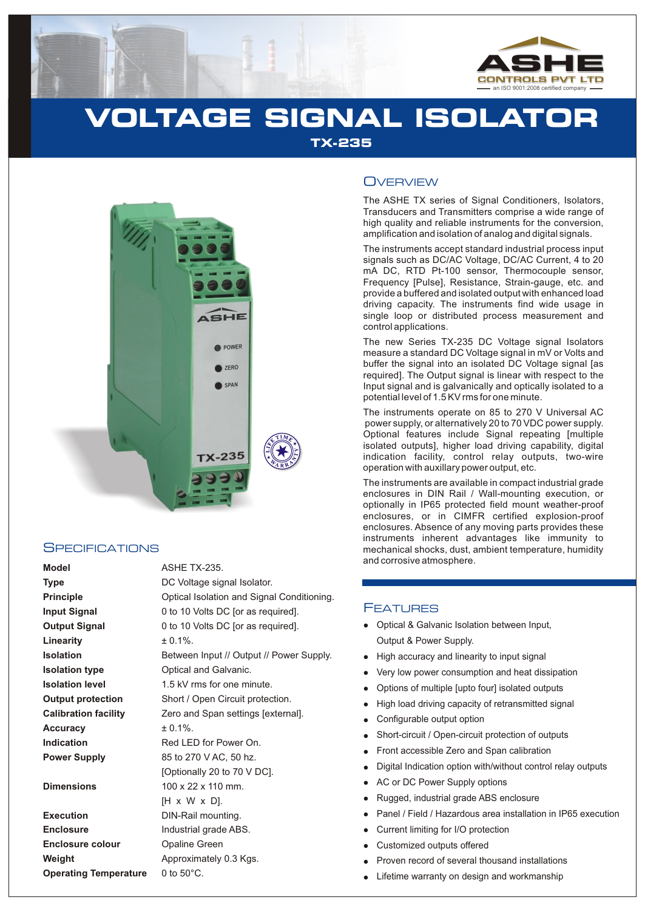

# **VOLTAGE SIGNAL ISOLATOR TX-235**



#### **SPECIFICATIONS**

| <b>Model</b>                 | <b>ASHE TX-235.</b>                        |
|------------------------------|--------------------------------------------|
| <b>Type</b>                  | DC Voltage signal Isolator.                |
| <b>Principle</b>             | Optical Isolation and Signal Conditioning. |
| <b>Input Signal</b>          | 0 to 10 Volts DC [or as required].         |
| <b>Output Signal</b>         | 0 to 10 Volts DC [or as required].         |
| Linearity                    | $± 0.1\%$ .                                |
| <b>Isolation</b>             | Between Input // Output // Power Supply.   |
| <b>Isolation type</b>        | Optical and Galvanic.                      |
| <b>Isolation level</b>       | 1.5 kV rms for one minute.                 |
| <b>Output protection</b>     | Short / Open Circuit protection.           |
| <b>Calibration facility</b>  | Zero and Span settings [external].         |
| <b>Accuracy</b>              | $± 0.1\%$ .                                |
| <b>Indication</b>            | Red LED for Power On.                      |
| <b>Power Supply</b>          | 85 to 270 V AC, 50 hz.                     |
|                              | [Optionally 20 to 70 V DC].                |
| <b>Dimensions</b>            | $100 \times 22 \times 110$ mm.             |
|                              | [H x W x D].                               |
| <b>Execution</b>             | DIN-Rail mounting.                         |
| <b>Enclosure</b>             | Industrial grade ABS.                      |
| <b>Enclosure colour</b>      | <b>Opaline Green</b>                       |
| Weight                       | Approximately 0.3 Kgs.                     |
| <b>Operating Temperature</b> | 0 to $50^{\circ}$ C.                       |

# **OVERVIEW**

The ASHE TX series of Signal Conditioners, Isolators, Transducers and Transmitters comprise a wide range of high quality and reliable instruments for the conversion, amplification and isolation of analog and digital signals.

The instruments accept standard industrial process input signals such as DC/AC Voltage, DC/AC Current, 4 to 20 mA DC, RTD Pt-100 sensor, Thermocouple sensor, Frequency [Pulse], Resistance, Strain-gauge, etc. and provide a buffered and isolated output with enhanced load driving capacity. The instruments find wide usage in single loop or distributed process measurement and control applications.

The new Series TX-235 DC Voltage signal Isolators measure a standard DC Voltage signal in mV or Volts and buffer the signal into an isolated DC Voltage signal [as required]. The Output signal is linear with respect to the Input signal and is galvanically and optically isolated to a potential level of 1.5 KV rms for one minute.

The instruments operate on 85 to 270 V Universal AC power supply, or alternatively 20 to 70 VDC power supply. Optional features include Signal repeating [multiple isolated outputs], higher load driving capability, digital indication facility, control relay outputs, two-wire operation with auxillary power output, etc.

The instruments are available in compact industrial grade enclosures in DIN Rail / Wall-mounting execution, or optionally in IP65 protected field mount weather-proof enclosures, or in CIMFR certified explosion-proof enclosures. Absence of any moving parts provides these instruments inherent advantages like immunity to mechanical shocks, dust, ambient temperature, humidity and corrosive atmosphere.

## FEATURES

- Optical & Galvanic Isolation between Input, Output & Power Supply.
- High accuracy and linearity to input signal
- Very low power consumption and heat dissipation  $\bullet$
- llighter and the High Controlling Property Controller and Controller and Controller and Controller and Controller and Lifetian Controller and Lifetian Controller and Lifetian Controller and Lifetian Controller and Lifetian Options of multiple [upto four] isolated outputs  $\bullet$
- High load driving capacity of retransmitted signal
- Configurable output option
- Short-circuit / Open-circuit protection of outputs
- Front accessible Zero and Span calibration
- Digital Indication option with/without control relay outputs
- AC or DC Power Supply options
- Rugged, industrial grade ABS enclosure
- Panel / Field / Hazardous area installation in IP65 execution
- Current limiting for I/O protection
- Customized outputs offered
- Proven record of several thousand installations
- Lifetime warranty on design and workmanship